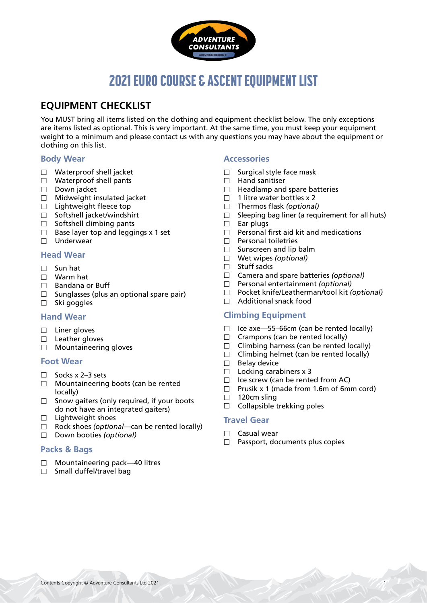

# 2021 EURO COURSE & ASCENT EQUIPMENT LIST

# **EQUIPMENT CHECKLIST**

You MUST bring all items listed on the clothing and equipment checklist below. The only exceptions are items listed as optional. This is very important. At the same time, you must keep your equipment weight to a minimum and please contact us with any questions you may have about the equipment or clothing on this list.

# **Body Wear**

- □ Waterproof shell jacket
- $\Box$  Waterproof shell pants
- Down jacket
- $\Box$  Midweight insulated jacket
- $\Box$  Lightweight fleece top
- $\Box$  Softshell jacket/windshirt
- $\Box$  Softshell climbing pants
- $\Box$  Base layer top and leggings x 1 set
- $\Box$  Underwear

# **Head Wear**

- $\Box$  Sun hat
- Warm hat
- $\Box$  Bandana or Buff
- $\Box$  Sunglasses (plus an optional spare pair)
- $\Box$  Ski goggles

### **Hand Wear**

- $\square$  Liner gloves
- $\Box$  Leather gloves
- □ Mountaineering gloves

### **Foot Wear**

- $\Box$  Socks x 2–3 sets
- $\Box$  Mountaineering boots (can be rented locally)
- $\Box$  Snow gaiters (only required, if your boots do not have an integrated gaiters)
- $\Box$  Lightweight shoes
- Rock shoes *(optional—*can be rented locally)
- Down booties *(optional)*

# **Packs & Bags**

- $\Box$  Mountaineering pack—40 litres
- $\Box$  Small duffel/travel bag

# **Accessories**

- $\Box$  Surgical style face mask
- $\Box$  Hand sanitiser
- $\Box$  Headlamp and spare batteries
- $\Box$  1 litre water bottles x 2
- Thermos flask *(optional)*
- $\Box$  Sleeping bag liner (a requirement for all huts)
- $\Box$  Ear plugs
- $\Box$  Personal first aid kit and medications
- $\Box$  Personal toiletries
- $\square$  Sunscreen and lip balm
- Wet wipes *(optional)*
- $\Box$  Stuff sacks
- Camera and spare batteries *(optional)*
- Personal entertainment *(optional)*
- Pocket knife/Leatherman/tool kit *(optional)*
- $\Box$  Additional snack food

# **Climbing Equipment**

- $\Box$  Ice axe-55-66cm (can be rented locally)
- $\Box$  Crampons (can be rented locally)
- $\Box$  Climbing harness (can be rented locally)
- $\Box$  Climbing helmet (can be rented locally)
- $\Box$  Belay device
- $\Box$  Locking carabiners x 3
- $\Box$  Ice screw (can be rented from AC)<br> $\Box$  Prusik x 1 (made from 1.6m of 6m
- Prusik x 1 (made from 1.6m of 6mm cord)<br>  $\Box$  120cm sling
- 120cm sling
- $\Box$  Collapsible trekking poles

# **Travel Gear**

- $\Box$  Casual wear
- $\Box$  Passport, documents plus copies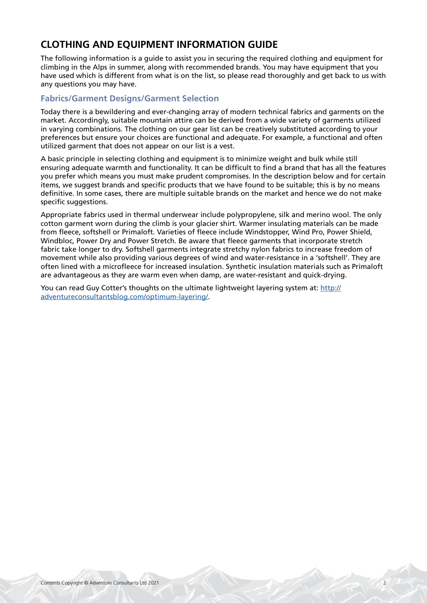# **CLOTHING AND EQUIPMENT INFORMATION GUIDE**

The following information is a guide to assist you in securing the required clothing and equipment for climbing in the Alps in summer, along with recommended brands. You may have equipment that you have used which is different from what is on the list, so please read thoroughly and get back to us with any questions you may have.

# **Fabrics/Garment Designs/Garment Selection**

Today there is a bewildering and ever-changing array of modern technical fabrics and garments on the market. Accordingly, suitable mountain attire can be derived from a wide variety of garments utilized in varying combinations. The clothing on our gear list can be creatively substituted according to your preferences but ensure your choices are functional and adequate. For example, a functional and often utilized garment that does not appear on our list is a vest.

A basic principle in selecting clothing and equipment is to minimize weight and bulk while still ensuring adequate warmth and functionality. It can be difficult to find a brand that has all the features you prefer which means you must make prudent compromises. In the description below and for certain items, we suggest brands and specific products that we have found to be suitable; this is by no means definitive. In some cases, there are multiple suitable brands on the market and hence we do not make specific suggestions.

Appropriate fabrics used in thermal underwear include polypropylene, silk and merino wool. The only cotton garment worn during the climb is your glacier shirt. Warmer insulating materials can be made from fleece, softshell or Primaloft. Varieties of fleece include Windstopper, Wind Pro, Power Shield, Windbloc, Power Dry and Power Stretch. Be aware that fleece garments that incorporate stretch fabric take longer to dry. Softshell garments integrate stretchy nylon fabrics to increase freedom of movement while also providing various degrees of wind and water-resistance in a 'softshell'. They are often lined with a microfleece for increased insulation. Synthetic insulation materials such as Primaloft are advantageous as they are warm even when damp, are water-resistant and quick-drying.

You can read Guy Cotter's thoughts on the ultimate lightweight layering system at: [http://](http://adventureconsultantsblog.com/optimum-layering/) [adventureconsultantsblog.com/optimum-layering/](http://adventureconsultantsblog.com/optimum-layering/).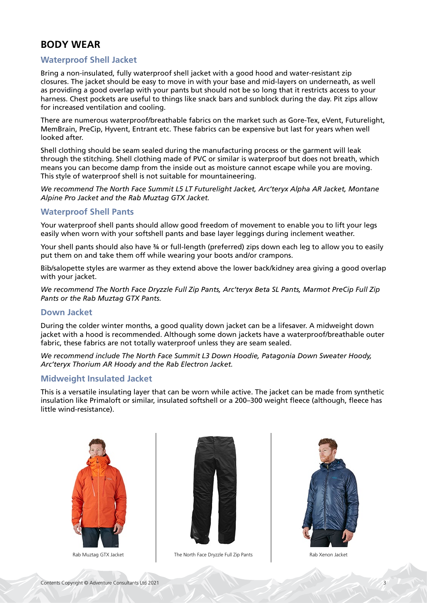# **BODY WEAR**

# **Waterproof Shell Jacket**

Bring a non-insulated, fully waterproof shell jacket with a good hood and water-resistant zip closures. The jacket should be easy to move in with your base and mid-layers on underneath, as well as providing a good overlap with your pants but should not be so long that it restricts access to your harness. Chest pockets are useful to things like snack bars and sunblock during the day. Pit zips allow for increased ventilation and cooling.

There are numerous waterproof/breathable fabrics on the market such as Gore-Tex, eVent, Futurelight, MemBrain, PreCip, Hyvent, Entrant etc. These fabrics can be expensive but last for years when well looked after.

Shell clothing should be seam sealed during the manufacturing process or the garment will leak through the stitching. Shell clothing made of PVC or similar is waterproof but does not breath, which means you can become damp from the inside out as moisture cannot escape while you are moving. This style of waterproof shell is not suitable for mountaineering.

*We recommend The North Face Summit L5 LT Futurelight Jacket, Arc'teryx Alpha AR Jacket, Montane Alpine Pro Jacket and the Rab Muztag GTX Jacket.*

# **Waterproof Shell Pants**

Your waterproof shell pants should allow good freedom of movement to enable you to lift your legs easily when worn with your softshell pants and base layer leggings during inclement weather.

Your shell pants should also have 34 or full-length (preferred) zips down each leg to allow you to easily put them on and take them off while wearing your boots and/or crampons.

Bib/salopette styles are warmer as they extend above the lower back/kidney area giving a good overlap with your jacket.

*We recommend The North Face Dryzzle Full Zip Pants, Arc'teryx Beta SL Pants, Marmot PreCip Full Zip Pants or the Rab Muztag GTX Pants.*

# **Down Jacket**

During the colder winter months, a good quality down jacket can be a lifesaver. A midweight down jacket with a hood is recommended. Although some down jackets have a waterproof/breathable outer fabric, these fabrics are not totally waterproof unless they are seam sealed.

*We recommend include The North Face Summit L3 Down Hoodie, Patagonia Down Sweater Hoody, Arc'teryx Thorium AR Hoody and the Rab Electron Jacket.*

### **Midweight Insulated Jacket**

This is a versatile insulating layer that can be worn while active. The jacket can be made from synthetic insulation like Primaloft or similar, insulated softshell or a 200–300 weight fleece (although, fleece has little wind-resistance).





Rab Muztag GTX Jacket The North Face Dryzzle Full Zip Pants The North Face Dryzzle Full Zip Pants Rab Xenon Jacket

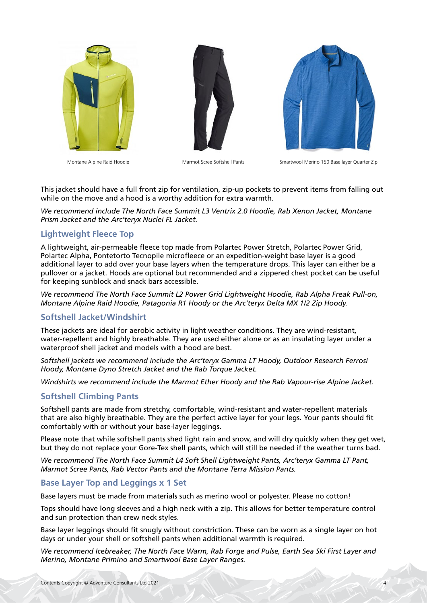





Montane Alpine Raid Hoodie Marmot Scree Softshell Pants Smartwool Merino 150 Base layer Quarter Zip

This jacket should have a full front zip for ventilation, zip-up pockets to prevent items from falling out while on the move and a hood is a worthy addition for extra warmth.

*We recommend include The North Face Summit L3 Ventrix 2.0 Hoodie, Rab Xenon Jacket, Montane Prism Jacket and the Arc'teryx Nuclei FL Jacket.*

# **Lightweight Fleece Top**

A lightweight, air-permeable fleece top made from Polartec Power Stretch, Polartec Power Grid, Polartec Alpha, Pontetorto Tecnopile microfleece or an expedition-weight base layer is a good additional layer to add over your base layers when the temperature drops. This layer can either be a pullover or a jacket. Hoods are optional but recommended and a zippered chest pocket can be useful for keeping sunblock and snack bars accessible.

*We recommend The North Face Summit L2 Power Grid Lightweight Hoodie, Rab Alpha Freak Pull-on, Montane Alpine Raid Hoodie, Patagonia R1 Hoody or the Arc'teryx Delta MX 1/2 Zip Hoody.*

# **Softshell Jacket/Windshirt**

These jackets are ideal for aerobic activity in light weather conditions. They are wind-resistant, water-repellent and highly breathable. They are used either alone or as an insulating layer under a waterproof shell jacket and models with a hood are best.

*Softshell jackets we recommend include the Arc'teryx Gamma LT Hoody, Outdoor Research Ferrosi Hoody, Montane Dyno Stretch Jacket and the Rab Torque Jacket.* 

*Windshirts we recommend include the Marmot Ether Hoody and the Rab Vapour-rise Alpine Jacket.*

#### **Softshell Climbing Pants**

Softshell pants are made from stretchy, comfortable, wind-resistant and water-repellent materials that are also highly breathable. They are the perfect active layer for your legs. Your pants should fit comfortably with or without your base-layer leggings.

Please note that while softshell pants shed light rain and snow, and will dry quickly when they get wet, but they do not replace your Gore-Tex shell pants, which will still be needed if the weather turns bad.

*We recommend The North Face Summit L4 Soft Shell Lightweight Pants, Arc'teryx Gamma LT Pant, Marmot Scree Pants, Rab Vector Pants and the Montane Terra Mission Pants.*

#### **Base Layer Top and Leggings x 1 Set**

Base layers must be made from materials such as merino wool or polyester. Please no cotton!

Tops should have long sleeves and a high neck with a zip. This allows for better temperature control and sun protection than crew neck styles.

Base layer leggings should fit snugly without constriction. These can be worn as a single layer on hot days or under your shell or softshell pants when additional warmth is required.

*We recommend Icebreaker, The North Face Warm, Rab Forge and Pulse, Earth Sea Ski First Layer and Merino, Montane Primino and Smartwool Base Layer Ranges.*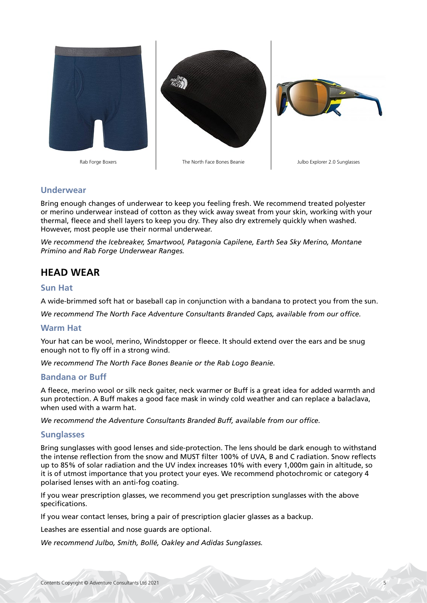

# **Underwear**

Bring enough changes of underwear to keep you feeling fresh. We recommend treated polyester or merino underwear instead of cotton as they wick away sweat from your skin, working with your thermal, fleece and shell layers to keep you dry. They also dry extremely quickly when washed. However, most people use their normal underwear.

*We recommend the Icebreaker, Smartwool, Patagonia Capilene, Earth Sea Sky Merino, Montane Primino and Rab Forge Underwear Ranges.*

# **HEAD WEAR**

### **Sun Hat**

A wide-brimmed soft hat or baseball cap in conjunction with a bandana to protect you from the sun.

*We recommend The North Face Adventure Consultants Branded Caps, available from our office.*

#### **Warm Hat**

Your hat can be wool, merino, Windstopper or fleece. It should extend over the ears and be snug enough not to fly off in a strong wind.

*We recommend The North Face Bones Beanie or the Rab Logo Beanie.*

#### **Bandana or Buff**

A fleece, merino wool or silk neck gaiter, neck warmer or Buff is a great idea for added warmth and sun protection. A Buff makes a good face mask in windy cold weather and can replace a balaclava, when used with a warm hat.

*We recommend the Adventure Consultants Branded Buff, available from our office.*

### **Sunglasses**

Bring sunglasses with good lenses and side-protection. The lens should be dark enough to withstand the intense reflection from the snow and MUST filter 100% of UVA, B and C radiation. Snow reflects up to 85% of solar radiation and the UV index increases 10% with every 1,000m gain in altitude, so it is of utmost importance that you protect your eyes. We recommend photochromic or category 4 polarised lenses with an anti-fog coating.

If you wear prescription glasses, we recommend you get prescription sunglasses with the above specifications.

If you wear contact lenses, bring a pair of prescription glacier glasses as a backup.

Leashes are essential and nose guards are optional.

*We recommend Julbo, Smith, Bollé, Oakley and Adidas Sunglasses.*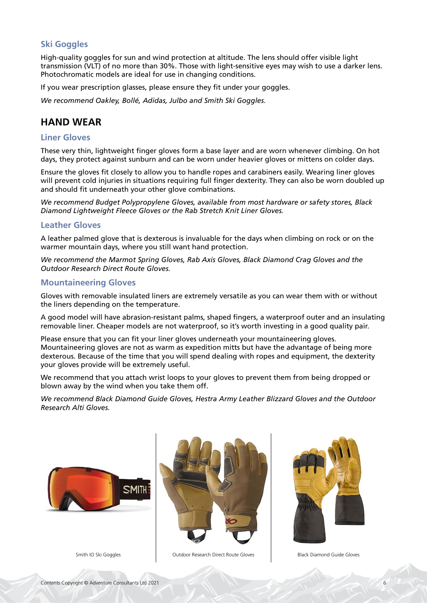# **Ski Goggles**

High-quality goggles for sun and wind protection at altitude. The lens should offer visible light transmission (VLT) of no more than 30%. Those with light-sensitive eyes may wish to use a darker lens. Photochromatic models are ideal for use in changing conditions.

If you wear prescription glasses, please ensure they fit under your goggles.

*We recommend Oakley, Bollé, Adidas, Julbo and Smith Ski Goggles.*

# **HAND WEAR**

### **Liner Gloves**

These very thin, lightweight finger gloves form a base layer and are worn whenever climbing. On hot days, they protect against sunburn and can be worn under heavier gloves or mittens on colder days.

Ensure the gloves fit closely to allow you to handle ropes and carabiners easily. Wearing liner gloves will prevent cold injuries in situations requiring full finger dexterity. They can also be worn doubled up and should fit underneath your other glove combinations.

*We recommend Budget Polypropylene Gloves, available from most hardware or safety stores, Black Diamond Lightweight Fleece Gloves or the Rab Stretch Knit Liner Gloves.*

#### **Leather Gloves**

A leather palmed glove that is dexterous is invaluable for the days when climbing on rock or on the warmer mountain days, where you still want hand protection.

*We recommend the Marmot Spring Gloves, Rab Axis Gloves, Black Diamond Crag Gloves and the Outdoor Research Direct Route Gloves.*

### **Mountaineering Gloves**

Gloves with removable insulated liners are extremely versatile as you can wear them with or without the liners depending on the temperature.

A good model will have abrasion-resistant palms, shaped fingers, a waterproof outer and an insulating removable liner. Cheaper models are not waterproof, so it's worth investing in a good quality pair.

Please ensure that you can fit your liner gloves underneath your mountaineering gloves. Mountaineering gloves are not as warm as expedition mitts but have the advantage of being more dexterous. Because of the time that you will spend dealing with ropes and equipment, the dexterity your gloves provide will be extremely useful.

We recommend that you attach wrist loops to your gloves to prevent them from being dropped or blown away by the wind when you take them off.

*We recommend Black Diamond Guide Gloves, Hestra Army Leather Blizzard Gloves and the Outdoor Research Alti Gloves.*





Smith IO Ski Goggles **Canadia Coutdoor Research Direct Route Gloves** Black Diamond Guide Gloves

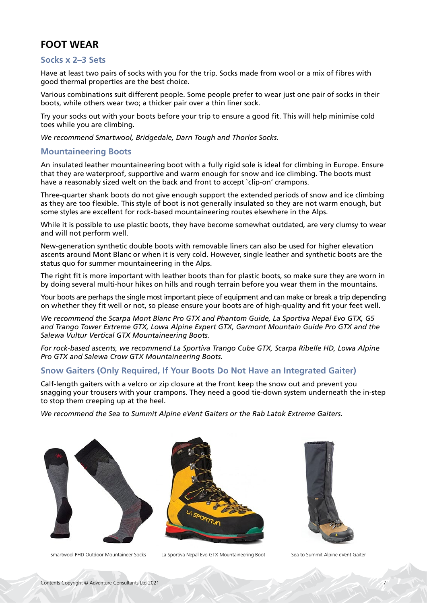# **FOOT WEAR**

# **Socks x 2–3 Sets**

Have at least two pairs of socks with you for the trip. Socks made from wool or a mix of fibres with good thermal properties are the best choice.

Various combinations suit different people. Some people prefer to wear just one pair of socks in their boots, while others wear two; a thicker pair over a thin liner sock.

Try your socks out with your boots before your trip to ensure a good fit. This will help minimise cold toes while you are climbing.

*We recommend Smartwool, Bridgedale, Darn Tough and Thorlos Socks.*

### **Mountaineering Boots**

An insulated leather mountaineering boot with a fully rigid sole is ideal for climbing in Europe. Ensure that they are waterproof, supportive and warm enough for snow and ice climbing. The boots must have a reasonably sized welt on the back and front to accept `clip-on' crampons.

Three-quarter shank boots do not give enough support the extended periods of snow and ice climbing as they are too flexible. This style of boot is not generally insulated so they are not warm enough, but some styles are excellent for rock-based mountaineering routes elsewhere in the Alps.

While it is possible to use plastic boots, they have become somewhat outdated, are very clumsy to wear and will not perform well.

New-generation synthetic double boots with removable liners can also be used for higher elevation ascents around Mont Blanc or when it is very cold. However, single leather and synthetic boots are the status quo for summer mountaineering in the Alps.

The right fit is more important with leather boots than for plastic boots, so make sure they are worn in by doing several multi-hour hikes on hills and rough terrain before you wear them in the mountains.

Your boots are perhaps the single most important piece of equipment and can make or break a trip depending on whether they fit well or not, so please ensure your boots are of high-quality and fit your feet well.

*We recommend the Scarpa Mont Blanc Pro GTX and Phantom Guide, La Sportiva Nepal Evo GTX, G5 and Trango Tower Extreme GTX, Lowa Alpine Expert GTX, Garmont Mountain Guide Pro GTX and the Salewa Vultur Vertical GTX Mountaineering Boots.*

*For rock-based ascents, we recommend La Sportiva Trango Cube GTX, Scarpa Ribelle HD, Lowa Alpine Pro GTX and Salewa Crow GTX Mountaineering Boots.*

### **Snow Gaiters (Only Required, If Your Boots Do Not Have an Integrated Gaiter)**

Calf-length gaiters with a velcro or zip closure at the front keep the snow out and prevent you snagging your trousers with your crampons. They need a good tie-down system underneath the in-step to stop them creeping up at the heel.

*We recommend the Sea to Summit Alpine eVent Gaiters or the Rab Latok Extreme Gaiters.*





Smartwool PHD Outdoor Mountaineer Socks | La Sportiva Nepal Evo GTX Mountaineering Boot | Sea to Summit Alpine eVent Gaiter

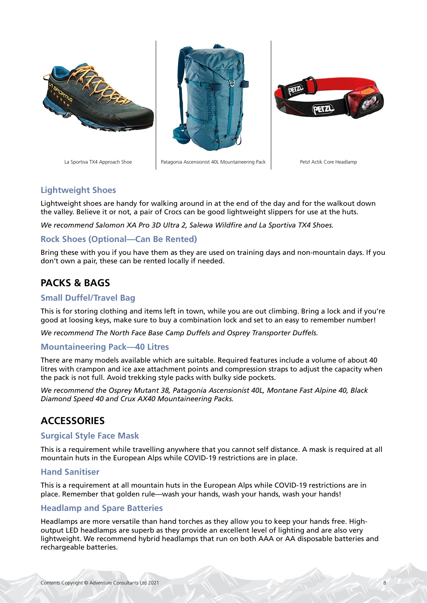



La Sportiva TX4 Approach Shoe Patagonia Ascensionist 40L Mountaineering Pack Petzl Actik Core Headlamp



# **Lightweight Shoes**

Lightweight shoes are handy for walking around in at the end of the day and for the walkout down the valley. Believe it or not, a pair of Crocs can be good lightweight slippers for use at the huts.

*We recommend Salomon XA Pro 3D Ultra 2, Salewa Wildfire and La Sportiva TX4 Shoes.*

# **Rock Shoes (Optional—Can Be Rented)**

Bring these with you if you have them as they are used on training days and non-mountain days. If you don't own a pair, these can be rented locally if needed.

# **PACKS & BAGS**

# **Small Duffel/Travel Bag**

This is for storing clothing and items left in town, while you are out climbing. Bring a lock and if you're good at loosing keys, make sure to buy a combination lock and set to an easy to remember number!

*We recommend The North Face Base Camp Duffels and Osprey Transporter Duffels.*

# **Mountaineering Pack—40 Litres**

There are many models available which are suitable. Required features include a volume of about 40 litres with crampon and ice axe attachment points and compression straps to adjust the capacity when the pack is not full. Avoid trekking style packs with bulky side pockets.

*We recommend the Osprey Mutant 38, Patagonia Ascensionist 40L, Montane Fast Alpine 40, Black Diamond Speed 40 and Crux AX40 Mountaineering Packs.*

# **ACCESSORIES**

### **Surgical Style Face Mask**

This is a requirement while travelling anywhere that you cannot self distance. A mask is required at all mountain huts in the European Alps while COVID-19 restrictions are in place.

### **Hand Sanitiser**

This is a requirement at all mountain huts in the European Alps while COVID-19 restrictions are in place. Remember that golden rule—wash your hands, wash your hands, wash your hands!

# **Headlamp and Spare Batteries**

Headlamps are more versatile than hand torches as they allow you to keep your hands free. Highoutput LED headlamps are superb as they provide an excellent level of lighting and are also very lightweight. We recommend hybrid headlamps that run on both AAA or AA disposable batteries and rechargeable batteries.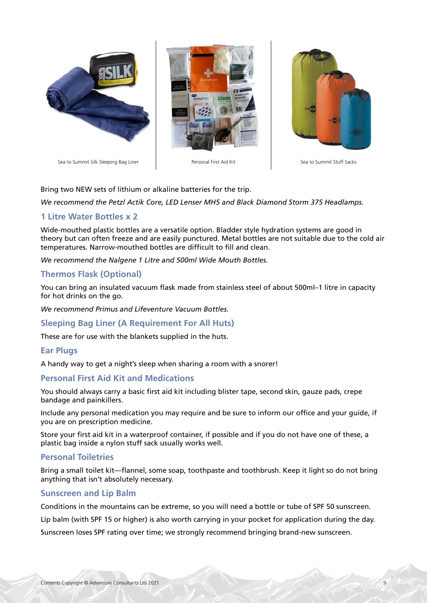



Sea to Summit Silk Sleeping Bag Liner | New Sea to Summit Stuff Sacks



Bring two NEW sets of lithium or alkaline batteries for the trip.

*We recommend the Petzl Actik Core, LED Lenser MH5 and Black Diamond Storm 375 Headlamps.*

# **1 Litre Water Bottles x 2**

Wide-mouthed plastic bottles are a versatile option. Bladder style hydration systems are good in theory but can often freeze and are easily punctured. Metal bottles are not suitable due to the cold air temperatures. Narrow-mouthed bottles are difficult to fill and clean.

*We recommend the Nalgene 1 Litre and 500ml Wide Mouth Bottles.*

# **Thermos Flask (Optional)**

You can bring an insulated vacuum flask made from stainless steel of about 500ml–1 litre in capacity for hot drinks on the go.

*We recommend Primus and Lifeventure Vacuum Bottles.*

**Sleeping Bag Liner (A Requirement For All Huts)**

These are for use with the blankets supplied in the huts.

### **Ear Plugs**

A handy way to get a night's sleep when sharing a room with a snorer!

### **Personal First Aid Kit and Medications**

You should always carry a basic first aid kit including blister tape, second skin, gauze pads, crepe bandage and painkillers.

Include any personal medication you may require and be sure to inform our office and your guide, if you are on prescription medicine.

Store your first aid kit in a waterproof container, if possible and if you do not have one of these, a plastic bag inside a nylon stuff sack usually works well.

### **Personal Toiletries**

Bring a small toilet kit—flannel, some soap, toothpaste and toothbrush. Keep it light so do not bring anything that isn't absolutely necessary.

# **Sunscreen and Lip Balm**

Conditions in the mountains can be extreme, so you will need a bottle or tube of SPF 50 sunscreen.

Lip balm (with SPF 15 or higher) is also worth carrying in your pocket for application during the day.

Sunscreen loses SPF rating over time; we strongly recommend bringing brand-new sunscreen.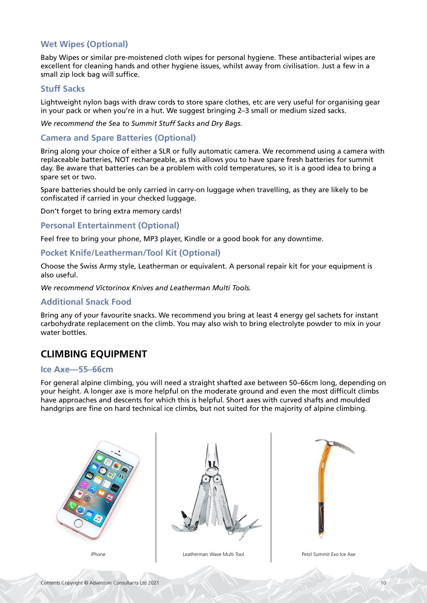# **Wet Wipes (Optional)**

Baby Wipes or similar pre-moistened cloth wipes for personal hygiene. These antibacterial wipes are excellent for cleaning hands and other hygiene issues, whilst away from civilisation. Just a few in a small zip lock bag will suffice.

#### **Stuff Sacks**

Lightweight nylon bags with draw cords to store spare clothes, etc are very useful for organising gear in your pack or when you're in a hut. We suggest bringing 2–3 small or medium sized sacks.

#### *We recommend the Sea to Summit Stuff Sacks and Dry Bags.*

#### **Camera and Spare Batteries (Optional)**

Bring along your choice of either a SLR or fully automatic camera. We recommend using a camera with replaceable batteries, NOT rechargeable, as this allows you to have spare fresh batteries for summit day. Be aware that batteries can be a problem with cold temperatures, so it is a good idea to bring a spare set or two.

Spare batteries should be only carried in carry-on luggage when travelling, as they are likely to be confiscated if carried in your checked luggage.

Don't forget to bring extra memory cards!

#### **Personal Entertainment (Optional)**

Feel free to bring your phone, MP3 player, Kindle or a good book for any downtime.

#### **Pocket Knife/Leatherman/Tool Kit (Optional)**

Choose the Swiss Army style, Leatherman or equivalent. A personal repair kit for your equipment is also useful.

*We recommend Victorinox Knives and Leatherman Multi Tools.*

#### **Additional Snack Food**

Bring any of your favourite snacks. We recommend you bring at least 4 energy gel sachets for instant carbohydrate replacement on the climb. You may also wish to bring electrolyte powder to mix in your water bottles.

# **CLIMBING EQUIPMENT**

#### **Ice Axe—55–66cm**

For general alpine climbing, you will need a straight shafted axe between 50–66cm long, depending on your height. A longer axe is more helpful on the moderate ground and even the most difficult climbs have approaches and descents for which this is helpful. Short axes with curved shafts and moulded handgrips are fine on hard technical ice climbs, but not suited for the majority of alpine climbing.





iPhone Leatherman Wave Multi Tool Petzl Summit Evo Ice Axe

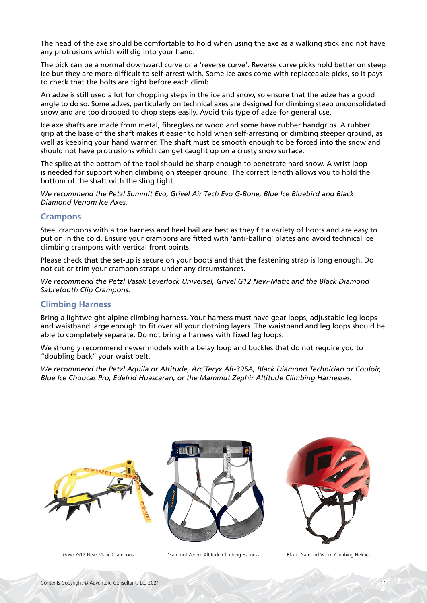The head of the axe should be comfortable to hold when using the axe as a walking stick and not have any protrusions which will dig into your hand.

The pick can be a normal downward curve or a 'reverse curve'. Reverse curve picks hold better on steep ice but they are more difficult to self-arrest with. Some ice axes come with replaceable picks, so it pays to check that the bolts are tight before each climb.

An adze is still used a lot for chopping steps in the ice and snow, so ensure that the adze has a good angle to do so. Some adzes, particularly on technical axes are designed for climbing steep unconsolidated snow and are too drooped to chop steps easily. Avoid this type of adze for general use.

Ice axe shafts are made from metal, fibreglass or wood and some have rubber handgrips. A rubber grip at the base of the shaft makes it easier to hold when self-arresting or climbing steeper ground, as well as keeping your hand warmer. The shaft must be smooth enough to be forced into the snow and should not have protrusions which can get caught up on a crusty snow surface.

The spike at the bottom of the tool should be sharp enough to penetrate hard snow. A wrist loop is needed for support when climbing on steeper ground. The correct length allows you to hold the bottom of the shaft with the sling tight.

*We recommend the Petzl Summit Evo, Grivel Air Tech Evo G-Bone, Blue Ice Bluebird and Black Diamond Venom Ice Axes.*

### **Crampons**

Steel crampons with a toe harness and heel bail are best as they fit a variety of boots and are easy to put on in the cold. Ensure your crampons are fitted with 'anti-balling' plates and avoid technical ice climbing crampons with vertical front points.

Please check that the set-up is secure on your boots and that the fastening strap is long enough. Do not cut or trim your crampon straps under any circumstances.

*We recommend the Petzl Vasak Leverlock Universel, Grivel G12 New-Matic and the Black Diamond Sabretooth Clip Crampons.*

# **Climbing Harness**

Bring a lightweight alpine climbing harness. Your harness must have gear loops, adjustable leg loops and waistband large enough to fit over all your clothing layers. The waistband and leg loops should be able to completely separate. Do not bring a harness with fixed leg loops.

We strongly recommend newer models with a belay loop and buckles that do not require you to "doubling back" your waist belt.

*We recommend the Petzl Aquila or Altitude, Arc'Teryx AR-395A, Black Diamond Technician or Couloir, Blue Ice Choucas Pro, Edelrid Huascaran, or the Mammut Zephir Altitude Climbing Harnesses.*





Grivel G12 New-Matic Crampons | Mammut Zephir Altitude Climbing Harness | Black Diamond Vapor Climbing Helmet

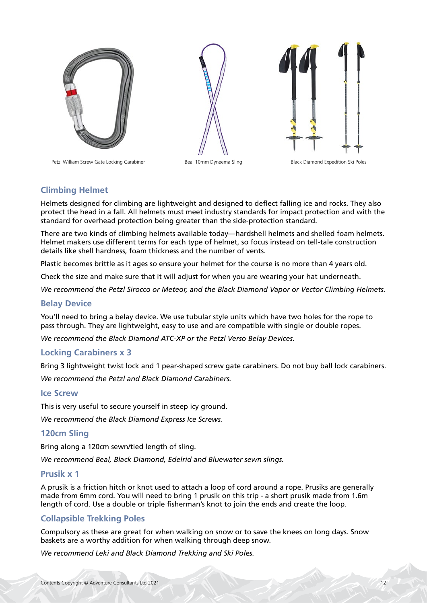

Petzl William Screw Gate Locking Carabiner | Beal 10mm Dyneema Sling | Black Diamond Expedition Ski Poles





# **Climbing Helmet**

Helmets designed for climbing are lightweight and designed to deflect falling ice and rocks. They also protect the head in a fall. All helmets must meet industry standards for impact protection and with the standard for overhead protection being greater than the side-protection standard.

There are two kinds of climbing helmets available today—hardshell helmets and shelled foam helmets. Helmet makers use different terms for each type of helmet, so focus instead on tell-tale construction details like shell hardness, foam thickness and the number of vents.

Plastic becomes brittle as it ages so ensure your helmet for the course is no more than 4 years old.

Check the size and make sure that it will adjust for when you are wearing your hat underneath.

*We recommend the Petzl Sirocco or Meteor, and the Black Diamond Vapor or Vector Climbing Helmets.*

### **Belay Device**

You'll need to bring a belay device. We use tubular style units which have two holes for the rope to pass through. They are lightweight, easy to use and are compatible with single or double ropes.

*We recommend the Black Diamond ATC-XP or the Petzl Verso Belay Devices.*

### **Locking Carabiners x 3**

Bring 3 lightweight twist lock and 1 pear-shaped screw gate carabiners. Do not buy ball lock carabiners.

*We recommend the Petzl and Black Diamond Carabiners.*

#### **Ice Screw**

This is very useful to secure yourself in steep icy ground.

*We recommend the Black Diamond Express Ice Screws.*

### **120cm Sling**

Bring along a 120cm sewn/tied length of sling.

*We recommend Beal, Black Diamond, Edelrid and Bluewater sewn slings.*

#### **Prusik x 1**

A prusik is a friction hitch or knot used to attach a loop of cord around a rope. Prusiks are generally made from 6mm cord. You will need to bring 1 prusik on this trip - a short prusik made from 1.6m length of cord. Use a double or triple fisherman's knot to join the ends and create the loop.

# **Collapsible Trekking Poles**

Compulsory as these are great for when walking on snow or to save the knees on long days. Snow baskets are a worthy addition for when walking through deep snow.

*We recommend Leki and Black Diamond Trekking and Ski Poles.*